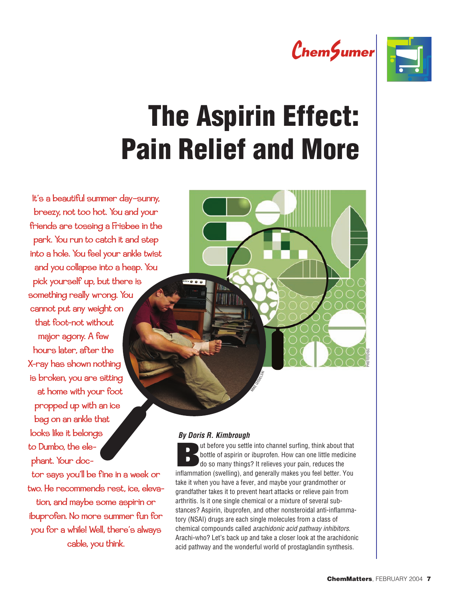



# The Aspirin Effect: Pain Relief and More

It's a beautiful summer day—sunny, breezy, not too hot. You and your friends are tossing a Frisbee in the park. You run to catch it and step into a hole. You feel your ankle twist and you collapse into a heap. You pick yourself up, but there is something really wrong. You cannot put any weight on that foot—not without major agony. A few hours later, after the X-ray has shown nothing is broken, you are sitting at home with your foot propped up with an ice bag on an ankle that looks like it belongs to Dumbo, the elephant. Your doc-

tor says you'll be fine in a week or two. He recommends rest, ice, elevation, and maybe some aspirin or ibuprofen. No more summer fun for you for a while! Well, there's always cable, you think.

#### **By Doris R. Kimbrough**

 $.000$ 

**But before you settle into channel surfing, think about that<br>bottle of aspirin or ibuprofen. How can one little medicine** bottle of aspirin or ibuprofen. How can one little medicine do so many things? It relieves your pain, reduces the inflammation (swelling), and generally makes you feel better. You take it when you have a fever, and maybe your grandmother or grandfather takes it to prevent heart attacks or relieve pain from arthritis. Is it one single chemical or a mixture of several substances? Aspirin, ibuprofen, and other nonsteroidal anti-inflammatory (NSAI) drugs are each single molecules from a class of chemical compounds called arachidonic acid pathway inhibitors. Arachi-who? Let's back up and take a closer look at the arachidonic acid pathway and the wonderful world of prostaglandin synthesis.

MIKE CIESTING

PHOTOTDISC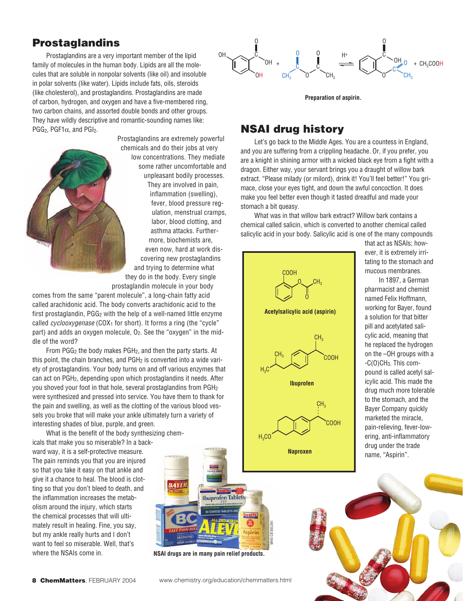## Prostaglandins

Prostaglandins are a very important member of the lipid family of molecules in the human body. Lipids are all the molecules that are soluble in nonpolar solvents (like oil) and insoluble in polar solvents (like water). Lipids include fats, oils, steroids (like cholesterol), and prostaglandins. Prostaglandins are made of carbon, hydrogen, and oxygen and have a five-membered ring, two carbon chains, and assorted double bonds and other groups. They have wildly descriptive and romantic-sounding names like: PGG<sub>2</sub>, PGF1 $\alpha$ , and PGI<sub>2</sub>.



Prostaglandins are extremely powerful chemicals and do their jobs at very low concentrations. They mediate some rather uncomfortable and unpleasant bodily processes. They are involved in pain, inflammation (swelling), fever, blood pressure regulation, menstrual cramps, labor, blood clotting, and asthma attacks. Furthermore, biochemists are, even now, hard at work discovering new prostaglandins and trying to determine what they do in the body. Every single

prostaglandin molecule in your body

comes from the same "parent molecule", a long-chain fatty acid called arachidonic acid. The body converts arachidonic acid to the first prostaglandin,  $PGG<sub>2</sub>$  with the help of a well-named little enzyme called cyclooxygenase (COX<sub>1</sub> for short). It forms a ring (the "cycle" part) and adds an oxygen molecule,  $O_2$ . See the "oxygen" in the middle of the word?

From  $PGG_2$  the body makes  $PGH_2$ , and then the party starts. At this point, the chain branches, and  $PGH<sub>2</sub>$  is converted into a wide variety of prostaglandins. Your body turns on and off various enzymes that can act on PGH2, depending upon which prostaglandins it needs. After you shoved your foot in that hole, several prostaglandins from PGH2 were synthesized and pressed into service. You have them to thank for the pain and swelling, as well as the clotting of the various blood vessels you broke that will make your ankle ultimately turn a variety of interesting shades of blue, purple, and green.

What is the benefit of the body synthesizing chemicals that make you so miserable? In a backward way, it is a self-protective measure. The pain reminds you that you are injured so that you take it easy on that ankle and give it a chance to heal. The blood is clot-**BAYER** ting so that you don't bleed to death, and the inflammation increases the metabolism around the injury, which starts the chemical processes that will ultimately result in healing. Fine, you say, but my ankle really hurts and I don't want to feel so miserable. Well, that's where the NSAIs come in. **NSAI drugs are in many pain relief products.**



**Preparation of aspirin.**

#### NSAI drug history

Let's go back to the Middle Ages. You are a countess in England, and you are suffering from a crippling headache. Or, if you prefer, you are a knight in shining armor with a wicked black eye from a fight with a dragon. Either way, your servant brings you a draught of willow bark extract. "Please milady (or milord), drink it! You'll feel better!" You grimace, close your eyes tight, and down the awful concoction. It does make you feel better even though it tasted dreadful and made your stomach a bit queasy.

What was in that willow bark extract? Willow bark contains a chemical called salicin, which is converted to another chemical called salicylic acid in your body. Salicylic acid is one of the many compounds



that act as NSAIs; however, it is extremely irritating to the stomach and mucous membranes.

In 1897, a German pharmacist and chemist named Felix Hoffmann, working for Bayer, found a solution for that bitter pill and acetylated salicylic acid, meaning that he replaced the hydrogen on the –OH groups with a -C(O)CH3. This compound is called acetyl salicylic acid. This made the drug much more tolerable to the stomach, and the Bayer Company quickly marketed the miracle, pain-relieving, fever-lowering, anti-inflammatory drug under the trade name, "Aspirin".



www.chemistry.org/education/chemmatters.html

health **an Ibuprofen Tablets** 

MIKE CIESIELSKI

<u>ealth</u>

Aspirin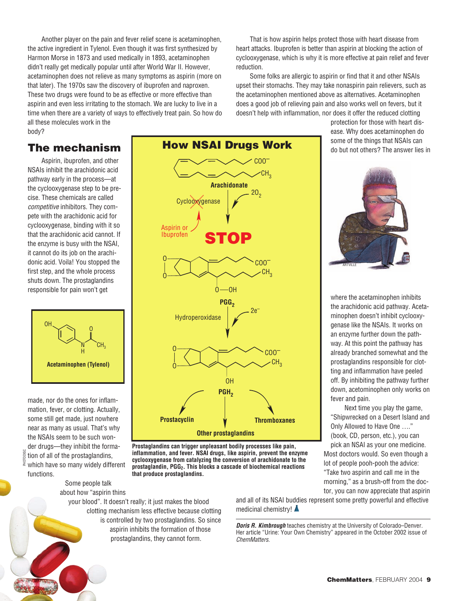Another player on the pain and fever relief scene is acetaminophen, the active ingredient in Tylenol. Even though it was first synthesized by Harmon Morse in 1873 and used medically in 1893, acetaminophen didn't really get medically popular until after World War II. However, acetaminophen does not relieve as many symptoms as aspirin (more on that later). The 1970s saw the discovery of ibuprofen and naproxen. These two drugs were found to be as effective or more effective than aspirin and even less irritating to the stomach. We are lucky to live in a time when there are a variety of ways to effectively treat pain. So how do all these molecules work in the body?

That is how aspirin helps protect those with heart disease from heart attacks. Ibuprofen is better than aspirin at blocking the action of cyclooxygenase, which is why it is more effective at pain relief and fever reduction.

Some folks are allergic to aspirin or find that it and other NSAIs upset their stomachs. They may take nonaspirin pain relievers, such as the acetaminophen mentioned above as alternatives. Acetaminophen does a good job of relieving pain and also works well on fevers, but it doesn't help with inflammation, nor does it offer the reduced clotting

## The mechanism

Aspirin, ibuprofen, and other NSAIs inhibit the arachidonic acid pathway early in the process—at the cyclooxygenase step to be precise. These chemicals are called competitive inhibitors. They compete with the arachidonic acid for cyclooxygenase, binding with it so that the arachidonic acid cannot. If the enzyme is busy with the NSAI, it cannot do its job on the arachidonic acid. Voila! You stopped the first step, and the whole process shuts down. The prostaglandins responsible for pain won't get



made, nor do the ones for inflammation, fever, or clotting. Actually, some still get made, just nowhere near as many as usual. That's why the NSAIs seem to be such wonder drugs—they inhibit the formation of all of the prostaglandins,  $\frac{5}{3}$  which have so many widely different functions. PHOTODISC

**Other prostaglandins Arachidonate** CH<sub>2</sub> COO– O O  $\mathsf{CH}_3$  $0 - 0$ H COO– O O  $\mathsf{CH}_3$ OH Hydroperoxidase PGG<sub>2</sub> PGH<sub>2</sub> **Prostacyclin V Thromboxanes Cyclooxygenase**  $20<sub>2</sub>$ 2e– **STOP** Aspirin or **Ibuprofen** 

How NSAI Drugs Work

COO–

**Prostaglandins can trigger unpleasant bodily processes like pain, inflammation, and fever. NSAI drugs, like aspirin, prevent the enzyme cyclooxygenase from catalyzing the conversion of arachidonate to the prostaglandin, PGG2. This blocks a cascade of biochemical reactions that produce prostaglandins.**

Some people talk about how "aspirin thins

your blood". It doesn't really; it just makes the blood clotting mechanism less effective because clotting is controlled by two prostaglandins. So since aspirin inhibits the formation of those prostaglandins, they cannot form.

and all of its NSAI buddies represent some pretty powerful and effective medicinal chemistry! **▲** 

**Doris R. Kimbrough** teaches chemistry at the University of Colorado–Denver. Her article "Urine: Your Own Chemistry" appeared in the October 2002 issue of ChemMatters.



ARTVILLE

protection for those with heart disease. Why does acetaminophen do some of the things that NSAIs can

where the acetaminophen inhibits the arachidonic acid pathway. Acetaminophen doesn't inhibit cyclooxygenase like the NSAIs. It works on an enzyme further down the pathway. At this point the pathway has already branched somewhat and the prostaglandins responsible for clotting and inflammation have peeled off. By inhibiting the pathway further down, acetominophen only works on fever and pain.

Next time you play the game, "Shipwrecked on a Desert Island and Only Allowed to Have One …." (book, CD, person, etc.), you can pick an NSAI as your one medicine. Most doctors would. So even though a lot of people pooh-pooh the advice: "Take two aspirin and call me in the morning," as a brush-off from the doctor, you can now appreciate that aspirin